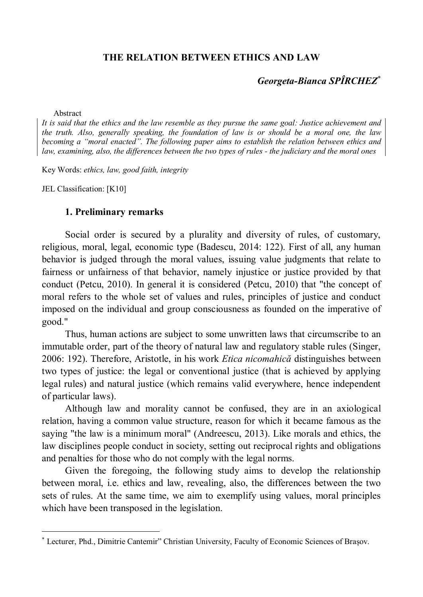### **THE RELATION BETWEEN ETHICS AND LAW**

### *Georgeta-Bianca SPÎRCHEZ*

Abstract

*It is said that the ethics and the law resemble as they pursue the same goal: Justice achievement and the truth. Also, generally speaking, the foundation of law is or should be a moral one, the law becoming a "moral enacted". The following paper aims to establish the relation between ethics and law, examining, also, the differences between the two types of rules - the judiciary and the moral ones*

Key Words: *ethics, law, good faith, integrity*

JEL Classification: [K10]

 $\overline{\phantom{a}}$ 

#### **1. Preliminary remarks**

Social order is secured by a plurality and diversity of rules, of customary, religious, moral, legal, economic type (Badescu, 2014: 122). First of all, any human behavior is judged through the moral values, issuing value judgments that relate to fairness or unfairness of that behavior, namely injustice or justice provided by that conduct (Petcu, 2010). In general it is considered (Petcu, 2010) that "the concept of moral refers to the whole set of values and rules, principles of justice and conduct imposed on the individual and group consciousness as founded on the imperative of good."

Thus, human actions are subject to some unwritten laws that circumscribe to an immutable order, part of the theory of natural law and regulatory stable rules (Singer, 2006: 192). Therefore, Aristotle, in his work *Etica nicomahică* distinguishes between two types of justice: the legal or conventional justice (that is achieved by applying legal rules) and natural justice (which remains valid everywhere, hence independent of particular laws).

Although law and morality cannot be confused, they are in an axiological relation, having a common value structure, reason for which it became famous as the saying "the law is a minimum moral" (Andreescu, 2013). Like morals and ethics, the law disciplines people conduct in society, setting out reciprocal rights and obligations and penalties for those who do not comply with the legal norms.

Given the foregoing, the following study aims to develop the relationship between moral, i.e. ethics and law, revealing, also, the differences between the two sets of rules. At the same time, we aim to exemplify using values, moral principles which have been transposed in the legislation.

Lecturer, Phd., Dimitrie Cantemir" Christian University, Faculty of Economic Sciences of Brașov.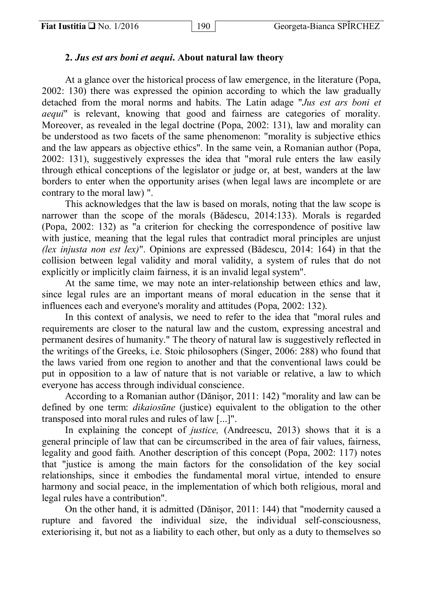# **2.** *Jus est ars boni et aequi***. About natural law theory**

At a glance over the historical process of law emergence, in the literature (Popa, 2002: 130) there was expressed the opinion according to which the law gradually detached from the moral norms and habits. The Latin adage "*Jus est ars boni et aequi*" is relevant, knowing that good and fairness are categories of morality. Moreover, as revealed in the legal doctrine (Popa, 2002: 131), law and morality can be understood as two facets of the same phenomenon: "morality is subjective ethics and the law appears as objective ethics". In the same vein, a Romanian author (Popa, 2002: 131), suggestively expresses the idea that "moral rule enters the law easily through ethical conceptions of the legislator or judge or, at best, wanders at the law borders to enter when the opportunity arises (when legal laws are incomplete or are contrary to the moral law) ".

This acknowledges that the law is based on morals, noting that the law scope is narrower than the scope of the morals (Bădescu, 2014:133). Morals is regarded (Popa, 2002: 132) as "a criterion for checking the correspondence of positive law with justice, meaning that the legal rules that contradict moral principles are unjust *(lex injusta non est lex)*". Opinions are expressed (Bădescu, 2014: 164) in that the collision between legal validity and moral validity, a system of rules that do not explicitly or implicitly claim fairness, it is an invalid legal system".

At the same time, we may note an inter-relationship between ethics and law, since legal rules are an important means of moral education in the sense that it influences each and everyone's morality and attitudes (Popa, 2002: 132).

In this context of analysis, we need to refer to the idea that "moral rules and requirements are closer to the natural law and the custom, expressing ancestral and permanent desires of humanity." The theory of natural law is suggestively reflected in the writings of the Greeks, i.e. Stoic philosophers (Singer, 2006: 288) who found that the laws varied from one region to another and that the conventional laws could be put in opposition to a law of nature that is not variable or relative, a law to which everyone has access through individual conscience.

According to a Romanian author (Dănişor, 2011: 142) "morality and law can be defined by one term: *dikaiosūne* (justice) equivalent to the obligation to the other transposed into moral rules and rules of law [...]".

In explaining the concept of *justice,* (Andreescu, 2013) shows that it is a general principle of law that can be circumscribed in the area of fair values, fairness, legality and good faith. Another description of this concept (Popa, 2002: 117) notes that "justice is among the main factors for the consolidation of the key social relationships, since it embodies the fundamental moral virtue, intended to ensure harmony and social peace, in the implementation of which both religious, moral and legal rules have a contribution".

On the other hand, it is admitted (Dănişor, 2011: 144) that "modernity caused a rupture and favored the individual size, the individual self-consciousness, exteriorising it, but not as a liability to each other, but only as a duty to themselves so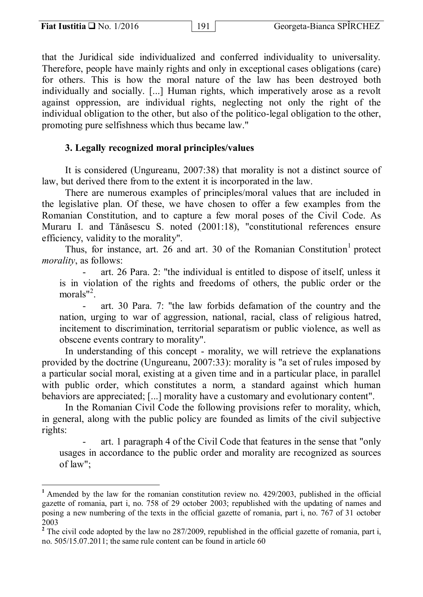$\overline{\phantom{a}}$ 

that the Juridical side individualized and conferred individuality to universality. Therefore, people have mainly rights and only in exceptional cases obligations (care) for others. This is how the moral nature of the law has been destroyed both individually and socially. [...] Human rights, which imperatively arose as a revolt against oppression, are individual rights, neglecting not only the right of the individual obligation to the other, but also of the politico-legal obligation to the other, promoting pure selfishness which thus became law."

# **3. Legally recognized moral principles/values**

It is considered (Ungureanu, 2007:38) that morality is not a distinct source of law, but derived there from to the extent it is incorporated in the law.

There are numerous examples of principles/moral values that are included in the legislative plan. Of these, we have chosen to offer a few examples from the Romanian Constitution, and to capture a few moral poses of the Civil Code. As Muraru I. and Tănăsescu S. noted (2001:18), "constitutional references ensure efficiency, validity to the morality".

Thus, for instance, art.  $26$  and art.  $30$  of the Romanian Constitution<sup>1</sup> protect *morality*, as follows:

- art. 26 Para. 2: "the individual is entitled to dispose of itself, unless it is in violation of the rights and freedoms of others, the public order or the morals"<sup>2</sup>.

- art. 30 Para. 7: "the law forbids defamation of the country and the nation, urging to war of aggression, national, racial, class of religious hatred, incitement to discrimination, territorial separatism or public violence, as well as obscene events contrary to morality".

In understanding of this concept - morality, we will retrieve the explanations provided by the doctrine (Ungureanu, 2007:33): morality is "a set of rules imposed by a particular social moral, existing at a given time and in a particular place, in parallel with public order, which constitutes a norm, a standard against which human behaviors are appreciated; [...] morality have a customary and evolutionary content".

In the Romanian Civil Code the following provisions refer to morality, which, in general, along with the public policy are founded as limits of the civil subjective rights:

- art. 1 paragraph 4 of the Civil Code that features in the sense that "only usages in accordance to the public order and morality are recognized as sources of law";

**<sup>1</sup>** Amended by the law for the romanian constitution review no. 429/2003, published in the official gazette of romania, part i, no. 758 of 29 october 2003; republished with the updating of names and posing a new numbering of the texts in the official gazette of romania, part i, no. 767 of 31 october 2003

<sup>&</sup>lt;sup>2</sup> The civil code adopted by the law no 287/2009, republished in the official gazette of romania, part i, no. 505/15.07.2011; the same rule content can be found in article 60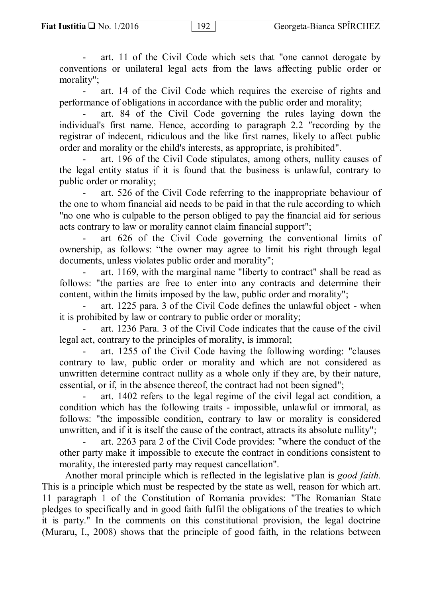- art. 11 of the Civil Code which sets that "one cannot derogate by conventions or unilateral legal acts from the laws affecting public order or morality";

- art. 14 of the Civil Code which requires the exercise of rights and performance of obligations in accordance with the public order and morality;

- art. 84 of the Civil Code governing the rules laying down the individual's first name. Hence, according to paragraph 2.2 ″recording by the registrar of indecent, ridiculous and the like first names, likely to affect public order and morality or the child's interests, as appropriate, is prohibited".

- art. 196 of the Civil Code stipulates, among others, nullity causes of the legal entity status if it is found that the business is unlawful, contrary to public order or morality;

- art. 526 of the Civil Code referring to the inappropriate behaviour of the one to whom financial aid needs to be paid in that the rule according to which "no one who is culpable to the person obliged to pay the financial aid for serious acts contrary to law or morality cannot claim financial support";

art 626 of the Civil Code governing the conventional limits of ownership, as follows: "the owner may agree to limit his right through legal documents, unless violates public order and morality";

art. 1169, with the marginal name "liberty to contract" shall be read as follows: "the parties are free to enter into any contracts and determine their content, within the limits imposed by the law, public order and morality";

- art. 1225 para. 3 of the Civil Code defines the unlawful object - when it is prohibited by law or contrary to public order or morality;

- art. 1236 Para. 3 of the Civil Code indicates that the cause of the civil legal act, contrary to the principles of morality, is immoral;

- art. 1255 of the Civil Code having the following wording: "clauses contrary to law, public order or morality and which are not considered as unwritten determine contract nullity as a whole only if they are, by their nature, essential, or if, in the absence thereof, the contract had not been signed";

art. 1402 refers to the legal regime of the civil legal act condition, a condition which has the following traits - impossible, unlawful or immoral, as follows: "the impossible condition, contrary to law or morality is considered unwritten, and if it is itself the cause of the contract, attracts its absolute nullity";

- art. 2263 para 2 of the Civil Code provides: "where the conduct of the other party make it impossible to execute the contract in conditions consistent to morality, the interested party may request cancellation".

Another moral principle which is reflected in the legislative plan is *good faith.* This is a principle which must be respected by the state as well, reason for which art. 11 paragraph 1 of the Constitution of Romania provides: "The Romanian State pledges to specifically and in good faith fulfil the obligations of the treaties to which it is party." In the comments on this constitutional provision, the legal doctrine (Muraru, I., 2008) shows that the principle of good faith, in the relations between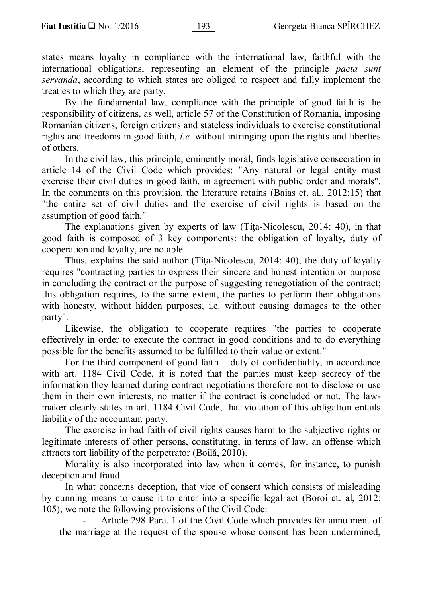states means loyalty in compliance with the international law, faithful with the international obligations, representing an element of the principle *pacta sunt servanda*, according to which states are obliged to respect and fully implement the treaties to which they are party.

By the fundamental law, compliance with the principle of good faith is the responsibility of citizens, as well, article 57 of the Constitution of Romania, imposing Romanian citizens, foreign citizens and stateless individuals to exercise constitutional rights and freedoms in good faith, *i.e.* without infringing upon the rights and liberties of others.

In the civil law, this principle, eminently moral, finds legislative consecration in article 14 of the Civil Code which provides: "Any natural or legal entity must exercise their civil duties in good faith, in agreement with public order and morals". In the comments on this provision, the literature retains (Baias et. al., 2012:15) that "the entire set of civil duties and the exercise of civil rights is based on the assumption of good faith."

The explanations given by experts of law (Tita-Nicolescu, 2014: 40), in that good faith is composed of 3 key components: the obligation of loyalty, duty of cooperation and loyalty, are notable.

Thus, explains the said author (Tiţa-Nicolescu, 2014: 40), the duty of loyalty requires "contracting parties to express their sincere and honest intention or purpose in concluding the contract or the purpose of suggesting renegotiation of the contract; this obligation requires, to the same extent, the parties to perform their obligations with honesty, without hidden purposes, i.e. without causing damages to the other party".

Likewise, the obligation to cooperate requires "the parties to cooperate effectively in order to execute the contract in good conditions and to do everything possible for the benefits assumed to be fulfilled to their value or extent."

For the third component of good faith – duty of confidentiality, in accordance with art. 1184 Civil Code, it is noted that the parties must keep secrecy of the information they learned during contract negotiations therefore not to disclose or use them in their own interests, no matter if the contract is concluded or not. The lawmaker clearly states in art. 1184 Civil Code, that violation of this obligation entails liability of the accountant party.

The exercise in bad faith of civil rights causes harm to the subjective rights or legitimate interests of other persons, constituting, in terms of law, an offense which attracts tort liability of the perpetrator (Boilă, 2010).

Morality is also incorporated into law when it comes, for instance, to punish deception and fraud.

In what concerns deception, that vice of consent which consists of misleading by cunning means to cause it to enter into a specific legal act (Boroi et. al, 2012: 105), we note the following provisions of the Civil Code:

Article 298 Para. 1 of the Civil Code which provides for annulment of the marriage at the request of the spouse whose consent has been undermined,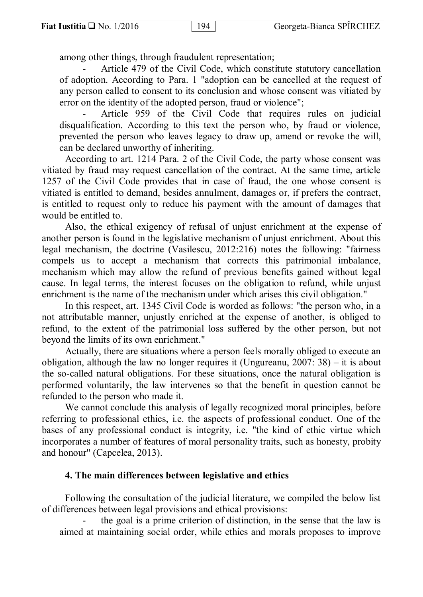among other things, through fraudulent representation;

Article 479 of the Civil Code, which constitute statutory cancellation of adoption. According to Para. 1 "adoption can be cancelled at the request of any person called to consent to its conclusion and whose consent was vitiated by error on the identity of the adopted person, fraud or violence";

Article 959 of the Civil Code that requires rules on judicial disqualification. According to this text the person who, by fraud or violence, prevented the person who leaves legacy to draw up, amend or revoke the will, can be declared unworthy of inheriting.

According to art. 1214 Para. 2 of the Civil Code, the party whose consent was vitiated by fraud may request cancellation of the contract. At the same time, article 1257 of the Civil Code provides that in case of fraud, the one whose consent is vitiated is entitled to demand, besides annulment, damages or, if prefers the contract, is entitled to request only to reduce his payment with the amount of damages that would be entitled to.

Also, the ethical exigency of refusal of unjust enrichment at the expense of another person is found in the legislative mechanism of unjust enrichment. About this legal mechanism, the doctrine (Vasilescu, 2012:216) notes the following: "fairness compels us to accept a mechanism that corrects this patrimonial imbalance, mechanism which may allow the refund of previous benefits gained without legal cause. In legal terms, the interest focuses on the obligation to refund, while unjust enrichment is the name of the mechanism under which arises this civil obligation."

In this respect, art. 1345 Civil Code is worded as follows: "the person who, in a not attributable manner, unjustly enriched at the expense of another, is obliged to refund, to the extent of the patrimonial loss suffered by the other person, but not beyond the limits of its own enrichment."

Actually, there are situations where a person feels morally obliged to execute an obligation, although the law no longer requires it (Ungureanu, 2007: 38) – it is about the so-called natural obligations. For these situations, once the natural obligation is performed voluntarily, the law intervenes so that the benefit in question cannot be refunded to the person who made it.

We cannot conclude this analysis of legally recognized moral principles, before referring to professional ethics, i.e. the aspects of professional conduct. One of the bases of any professional conduct is integrity, i.e. "the kind of ethic virtue which incorporates a number of features of moral personality traits, such as honesty, probity and honour" (Capcelea, 2013).

### **4. The main differences between legislative and ethics**

Following the consultation of the judicial literature, we compiled the below list of differences between legal provisions and ethical provisions:

the goal is a prime criterion of distinction, in the sense that the law is aimed at maintaining social order, while ethics and morals proposes to improve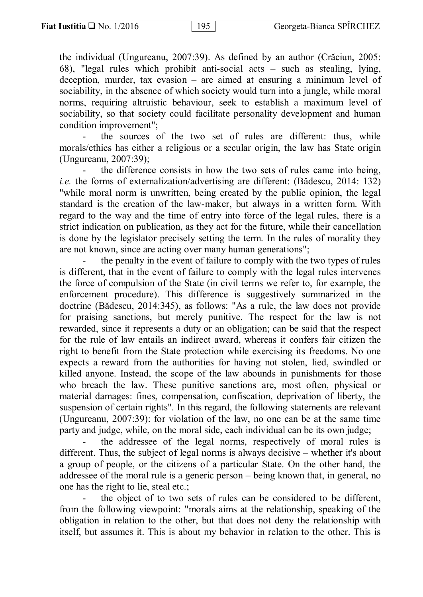the individual (Ungureanu, 2007:39). As defined by an author (Crăciun, 2005: 68), "legal rules which prohibit anti-social acts – such as stealing, lying, deception, murder, tax evasion – are aimed at ensuring a minimum level of sociability, in the absence of which society would turn into a jungle, while moral norms, requiring altruistic behaviour, seek to establish a maximum level of sociability, so that society could facilitate personality development and human condition improvement";

the sources of the two set of rules are different: thus, while morals/ethics has either a religious or a secular origin, the law has State origin (Ungureanu, 2007:39);

the difference consists in how the two sets of rules came into being, *i.e.* the forms of externalization/advertising are different: (Bădescu, 2014: 132) "while moral norm is unwritten, being created by the public opinion, the legal standard is the creation of the law-maker, but always in a written form. With regard to the way and the time of entry into force of the legal rules, there is a strict indication on publication, as they act for the future, while their cancellation is done by the legislator precisely setting the term. In the rules of morality they are not known, since are acting over many human generations";

the penalty in the event of failure to comply with the two types of rules is different, that in the event of failure to comply with the legal rules intervenes the force of compulsion of the State (in civil terms we refer to, for example, the enforcement procedure). This difference is suggestively summarized in the doctrine (Bădescu, 2014:345), as follows: "As a rule, the law does not provide for praising sanctions, but merely punitive. The respect for the law is not rewarded, since it represents a duty or an obligation; can be said that the respect for the rule of law entails an indirect award, whereas it confers fair citizen the right to benefit from the State protection while exercising its freedoms. No one expects a reward from the authorities for having not stolen, lied, swindled or killed anyone. Instead, the scope of the law abounds in punishments for those who breach the law. These punitive sanctions are, most often, physical or material damages: fines, compensation, confiscation, deprivation of liberty, the suspension of certain rights". In this regard, the following statements are relevant (Ungureanu, 2007:39): for violation of the law, no one can be at the same time party and judge, while, on the moral side, each individual can be its own judge;

the addressee of the legal norms, respectively of moral rules is different. Thus, the subject of legal norms is always decisive – whether it's about a group of people, or the citizens of a particular State. On the other hand, the addressee of the moral rule is a generic person – being known that, in general, no one has the right to lie, steal etc.;

the object of to two sets of rules can be considered to be different, from the following viewpoint: "morals aims at the relationship, speaking of the obligation in relation to the other, but that does not deny the relationship with itself, but assumes it. This is about my behavior in relation to the other. This is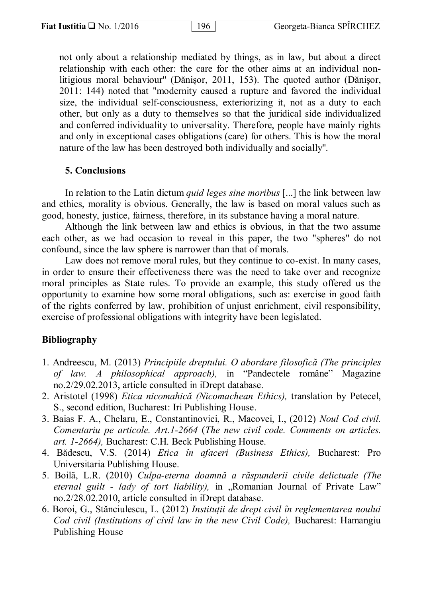not only about a relationship mediated by things, as in law, but about a direct relationship with each other: the care for the other aims at an individual nonlitigious moral behaviour'' (Dănișor, 2011, 153). The quoted author (Dănişor, 2011: 144) noted that "modernity caused a rupture and favored the individual size, the individual self-consciousness, exteriorizing it, not as a duty to each other, but only as a duty to themselves so that the juridical side individualized and conferred individuality to universality. Therefore, people have mainly rights and only in exceptional cases obligations (care) for others. This is how the moral nature of the law has been destroyed both individually and socially''.

### **5. Conclusions**

In relation to the Latin dictum *quid leges sine moribus* [...] the link between law and ethics, morality is obvious. Generally, the law is based on moral values such as good, honesty, justice, fairness, therefore, in its substance having a moral nature.

Although the link between law and ethics is obvious, in that the two assume each other, as we had occasion to reveal in this paper, the two "spheres" do not confound, since the law sphere is narrower than that of morals.

Law does not remove moral rules, but they continue to co-exist. In many cases, in order to ensure their effectiveness there was the need to take over and recognize moral principles as State rules. To provide an example, this study offered us the opportunity to examine how some moral obligations, such as: exercise in good faith of the rights conferred by law, prohibition of unjust enrichment, civil responsibility, exercise of professional obligations with integrity have been legislated.

## **Bibliography**

- 1. Andreescu, M. (2013) *Principiile dreptului. O abordare filosofică (The principles of law. A philosophical approach),* in "Pandectele române" Magazine no.2/29.02.2013, article consulted in iDrept database.
- 2. Aristotel (1998) *Etica nicomahică (Nicomachean Ethics),* translation by Petecel, S., second edition, Bucharest: Iri Publishing House.
- 3. Baias F. A., Chelaru, E., Constantinovici, R., Macovei, I., (2012) *Noul Cod civil. Comentariu pe articole. Art.1-2664* (*The new civil code. Comments on articles. art. 1-2664),* Bucharest: C.H. Beck Publishing House.
- 4. Bădescu, V.S. (2014) *Etica în afaceri (Business Ethics),* Bucharest: Pro Universitaria Publishing House.
- 5. Boilă, L.R. (2010) *Culpa-eterna doamnă a răspunderii civile delictuale (The eternal guilt - lady of tort liability),* in "Romanian Journal of Private Law" no.2/28.02.2010, article consulted in iDrept database.
- 6. Boroi, G., Stănciulescu, L. (2012) *Instituții de drept civil în reglementarea noului Cod civil (Institutions of civil law in the new Civil Code),* Bucharest: Hamangiu Publishing House